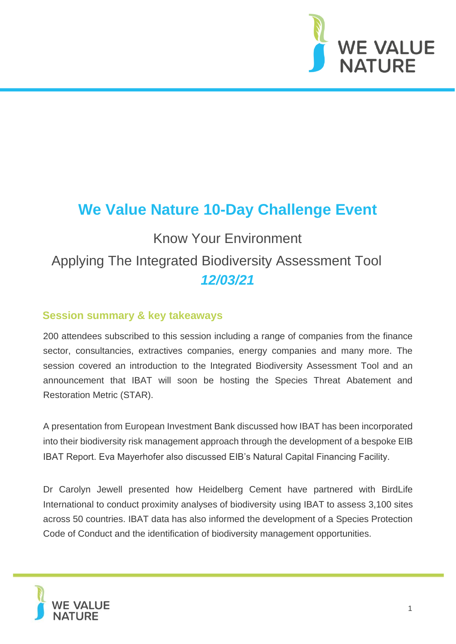

# **We Value Nature 10-Day Challenge Event**

# Know Your Environment Applying The Integrated Biodiversity Assessment Tool *12/03/21*

### **Session summary & key takeaways**

200 attendees subscribed to this session including a range of companies from the finance sector, consultancies, extractives companies, energy companies and many more. The session covered an introduction to the Integrated Biodiversity Assessment Tool and an announcement that IBAT will soon be hosting the Species Threat Abatement and Restoration Metric (STAR).

A presentation from European Investment Bank discussed how IBAT has been incorporated into their biodiversity risk management approach through the development of a bespoke EIB IBAT Report. Eva Mayerhofer also discussed EIB's Natural Capital Financing Facility.

Dr Carolyn Jewell presented how Heidelberg Cement have partnered with BirdLife International to conduct proximity analyses of biodiversity using IBAT to assess 3,100 sites across 50 countries. IBAT data has also informed the development of a Species Protection Code of Conduct and the identification of biodiversity management opportunities.

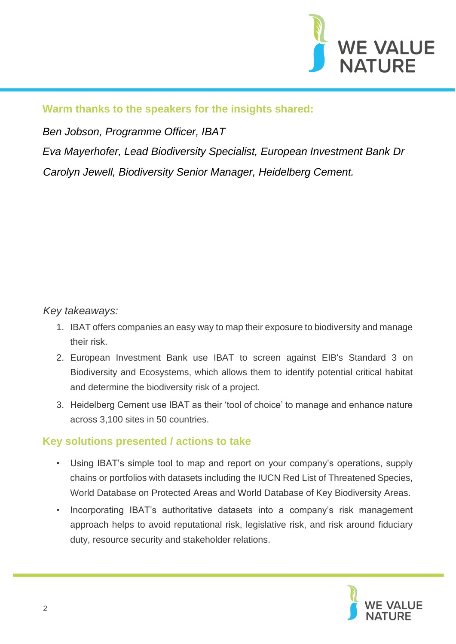

#### **Warm thanks to the speakers for the insights shared:**

*Ben Jobson, Programme Officer, IBAT* 

*Eva Mayerhofer, Lead Biodiversity Specialist, European Investment Bank Dr Carolyn Jewell, Biodiversity Senior Manager, Heidelberg Cement.* 

## *Key takeaways:*

- 1. IBAT offers companies an easy way to map their exposure to biodiversity and manage their risk.
- 2. European Investment Bank use IBAT to screen against EIB's Standard 3 on Biodiversity and Ecosystems, which allows them to identify potential critical habitat and determine the biodiversity risk of a project.
- 3. Heidelberg Cement use IBAT as their 'tool of choice' to manage and enhance nature across 3,100 sites in 50 countries.

#### **Key solutions presented / actions to take**

- Using IBAT's simple tool to map and report on your company's operations, supply chains or portfolios with datasets including the IUCN Red List of Threatened Species, World Database on Protected Areas and World Database of Key Biodiversity Areas.
- Incorporating IBAT's authoritative datasets into a company's risk management approach helps to avoid reputational risk, legislative risk, and risk around fiduciary duty, resource security and stakeholder relations.